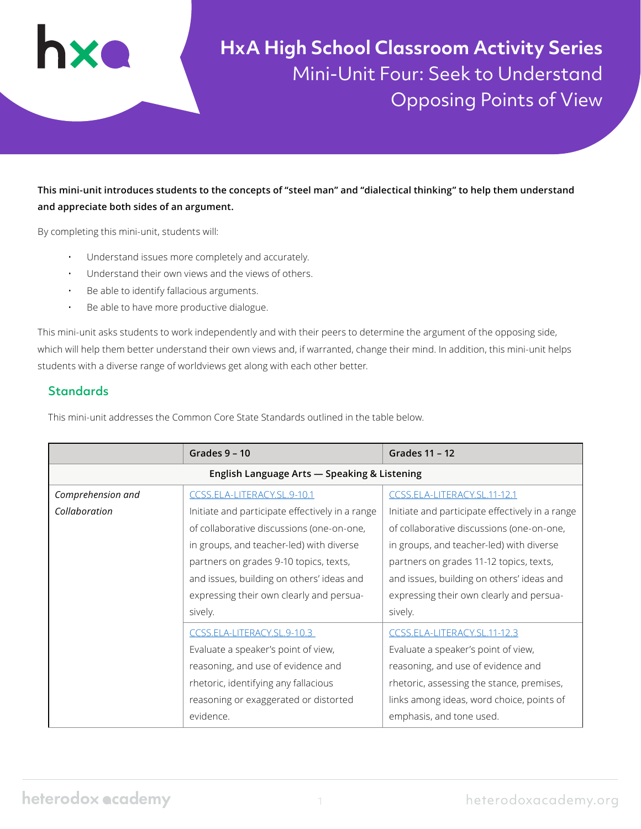

**HxA High School Classroom Activity Series** Mini-Unit Four: Seek to Understand Opposing Points of View

#### **This mini-unit introduces students to the concepts of "steel man" and "dialectical thinking" to help them understand and appreciate both sides of an argument.**

By completing this mini-unit, students will:

- Understand issues more completely and accurately.
- Understand their own views and the views of others.
- Be able to identify fallacious arguments.
- Be able to have more productive dialogue.

This mini-unit asks students to work independently and with their peers to determine the argument of the opposing side, which will help them better understand their own views and, if warranted, change their mind. In addition, this mini-unit helps students with a diverse range of worldviews get along with each other better.

#### **Standards**

This mini-unit addresses the Common Core State Standards outlined in the table below.

|                                              | Grades $9 - 10$<br>Grades 11 - 12               |                                                 |  |  |  |  |
|----------------------------------------------|-------------------------------------------------|-------------------------------------------------|--|--|--|--|
| English Language Arts - Speaking & Listening |                                                 |                                                 |  |  |  |  |
| Comprehension and                            | CCSS.ELA-LITERACY.SL.9-10.1                     | CCSS.ELA-LITERACY.SL.11-12.1                    |  |  |  |  |
| Collaboration                                | Initiate and participate effectively in a range | Initiate and participate effectively in a range |  |  |  |  |
|                                              | of collaborative discussions (one-on-one,       | of collaborative discussions (one-on-one,       |  |  |  |  |
|                                              | in groups, and teacher-led) with diverse        | in groups, and teacher-led) with diverse        |  |  |  |  |
|                                              | partners on grades 9-10 topics, texts,          | partners on grades 11-12 topics, texts,         |  |  |  |  |
|                                              | and issues, building on others' ideas and       | and issues, building on others' ideas and       |  |  |  |  |
|                                              | expressing their own clearly and persua-        | expressing their own clearly and persua-        |  |  |  |  |
|                                              | sively.                                         | sively.                                         |  |  |  |  |
|                                              | CCSS.ELA-LITERACY.SL.9-10.3                     | CCSS.ELA-LITERACY.SL.11-12.3                    |  |  |  |  |
|                                              | Evaluate a speaker's point of view,             | Evaluate a speaker's point of view,             |  |  |  |  |
| reasoning, and use of evidence and           |                                                 | reasoning, and use of evidence and              |  |  |  |  |
|                                              | rhetoric, identifying any fallacious            | rhetoric, assessing the stance, premises,       |  |  |  |  |
| reasoning or exaggerated or distorted        |                                                 | links among ideas, word choice, points of       |  |  |  |  |
|                                              | evidence.                                       | emphasis, and tone used.                        |  |  |  |  |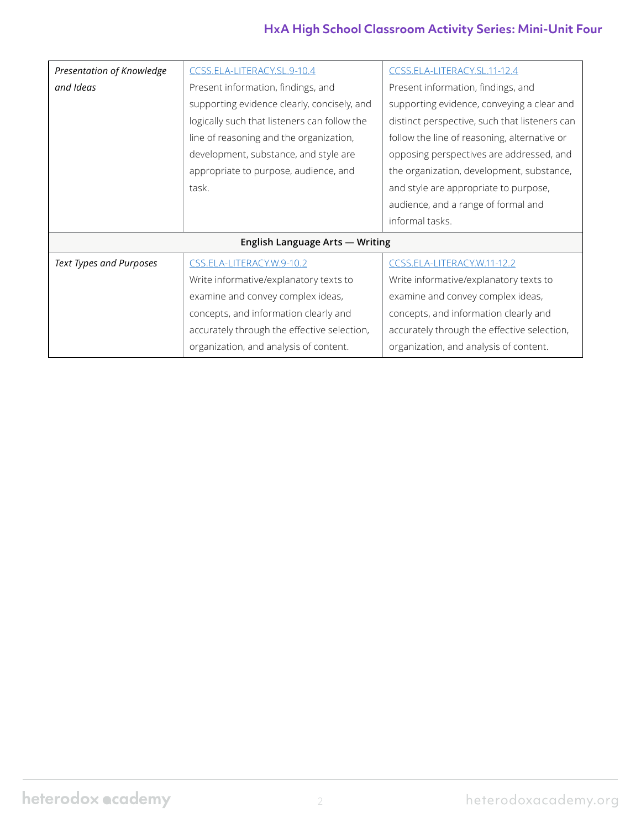# **HxA High School Classroom Activity Series: Mini-Unit Four**

| Presentation of Knowledge       | CCSS.ELA-LITERACY.SL.9-10.4                  | CCSS.ELA-LITERACY.SL.11-12.4                  |  |  |  |  |
|---------------------------------|----------------------------------------------|-----------------------------------------------|--|--|--|--|
| and Ideas                       | Present information, findings, and           | Present information, findings, and            |  |  |  |  |
|                                 | supporting evidence clearly, concisely, and  | supporting evidence, conveying a clear and    |  |  |  |  |
|                                 | logically such that listeners can follow the | distinct perspective, such that listeners can |  |  |  |  |
|                                 | line of reasoning and the organization,      | follow the line of reasoning, alternative or  |  |  |  |  |
|                                 | development, substance, and style are        | opposing perspectives are addressed, and      |  |  |  |  |
|                                 | appropriate to purpose, audience, and        | the organization, development, substance,     |  |  |  |  |
|                                 | task.                                        | and style are appropriate to purpose,         |  |  |  |  |
|                                 |                                              | audience, and a range of formal and           |  |  |  |  |
|                                 |                                              | informal tasks.                               |  |  |  |  |
| English Language Arts - Writing |                                              |                                               |  |  |  |  |
| <b>Text Types and Purposes</b>  | CSS.ELA-LITERACY.W.9-10.2                    | CCSS.ELA-LITERACY.W.11-12.2                   |  |  |  |  |
|                                 | Write informative/explanatory texts to       | Write informative/explanatory texts to        |  |  |  |  |
|                                 | examine and convey complex ideas,            | examine and convey complex ideas,             |  |  |  |  |
|                                 | concepts, and information clearly and        | concepts, and information clearly and         |  |  |  |  |
|                                 | accurately through the effective selection,  | accurately through the effective selection,   |  |  |  |  |
|                                 | organization, and analysis of content.       | organization, and analysis of content.        |  |  |  |  |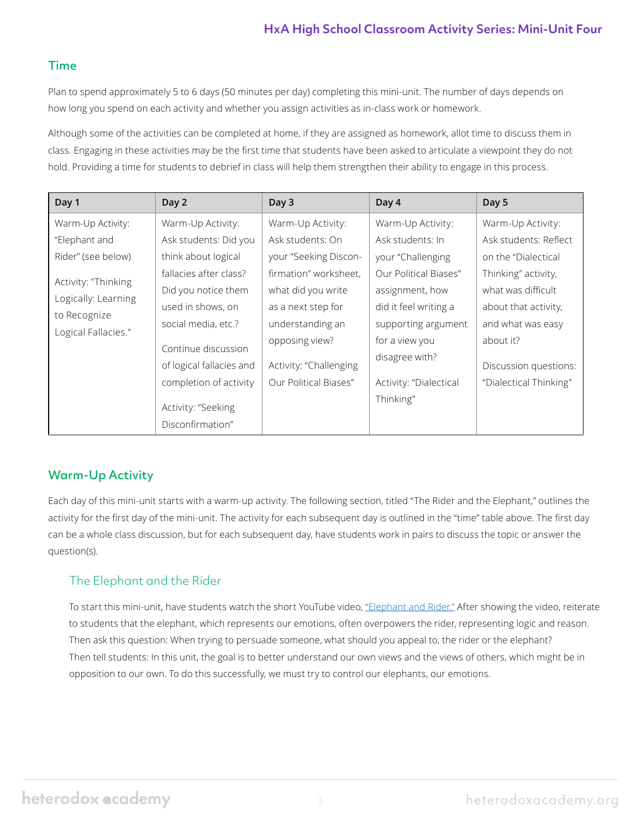#### Time

Plan to spend approximately 5 to 6 days (50 minutes per day) completing this mini-unit. The number of days depends on how long you spend on each activity and whether you assign activities as in-class work or homework.

Although some of the activities can be completed at home, if they are assigned as homework, allot time to discuss them in class. Engaging in these activities may be the first time that students have been asked to articulate a viewpoint they do not hold. Providing a time for students to debrief in class will help them strengthen their ability to engage in this process.

| Day 1                                                                             | Day 2                                           | Day 3                  | Day 4                  | Day 5                  |
|-----------------------------------------------------------------------------------|-------------------------------------------------|------------------------|------------------------|------------------------|
| Warm-Up Activity:                                                                 | Warm-Up Activity:                               | Warm-Up Activity:      | Warm-Up Activity:      | Warm-Up Activity:      |
| "Elephant and                                                                     | Ask students: Did you                           | Ask students: On       | Ask students: In       | Ask students: Reflect  |
| Rider" (see below)                                                                | think about logical                             | your "Seeking Discon-  | your "Challenging      | on the "Dialectical    |
| Activity: "Thinking<br>Logically: Learning<br>to Recognize<br>Logical Fallacies." | fallacies after class?                          | firmation" worksheet.  | Our Political Biases"  | Thinking" activity,    |
|                                                                                   | Did you notice them                             | what did you write     | assignment, how        | what was difficult     |
|                                                                                   | used in shows, on                               | as a next step for     | did it feel writing a  | about that activity,   |
|                                                                                   | social media, etc.?                             | understanding an       | supporting argument    | and what was easy      |
|                                                                                   | Continue discussion<br>of logical fallacies and | opposing view?         | for a view you         | about it?              |
|                                                                                   |                                                 | Activity: "Challenging | disagree with?         | Discussion questions:  |
|                                                                                   | completion of activity                          | Our Political Biases"  | Activity: "Dialectical | "Dialectical Thinking" |
|                                                                                   | Activity: "Seeking                              |                        | Thinking"              |                        |
|                                                                                   | Disconfirmation"                                |                        |                        |                        |

# Warm-Up Activity

Each day of this mini-unit starts with a warm-up activity. The following section, titled "The Rider and the Elephant," outlines the activity for the first day of the mini-unit. The activity for each subsequent day is outlined in the "time" table above. The first day can be a whole class discussion, but for each subsequent day, have students work in pairs to discuss the topic or answer the question(s).

# The Elephant and the Rider

To start this mini-unit, have students watch the short YouTube video, ["Elephant and Rider."](https://youtu.be/DXyoJ343nVU) After showing the video, reiterate to students that the elephant, which represents our emotions, often overpowers the rider, representing logic and reason. Then ask this question: When trying to persuade someone, what should you appeal to, the rider or the elephant? Then tell students: In this unit, the goal is to better understand our own views and the views of others, which might be in opposition to our own. To do this successfully, we must try to control our elephants, our emotions.